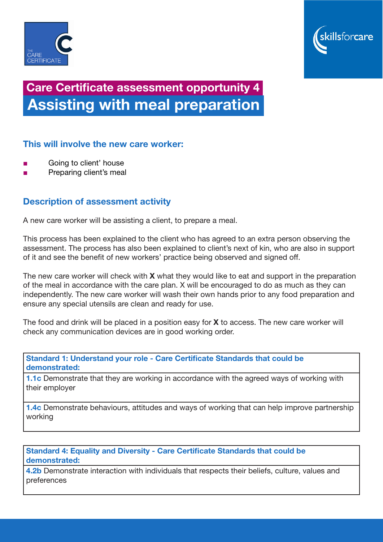



# Care Certificate assessment opportunity 4 Assisting with meal preparation

## This will involve the new care worker:

- Going to client' house
- Preparing client's meal

# Description of assessment activity

A new care worker will be assisting a client, to prepare a meal.

This process has been explained to the client who has agreed to an extra person observing the assessment. The process has also been explained to client's next of kin, who are also in support of it and see the benefit of new workers' practice being observed and signed off.

The new care worker will check with **X** what they would like to eat and support in the preparation of the meal in accordance with the care plan. X will be encouraged to do as much as they can independently. The new care worker will wash their own hands prior to any food preparation and ensure any special utensils are clean and ready for use.

The food and drink will be placed in a position easy for  $X$  to access. The new care worker will check any communication devices are in good working order.

Standard 1: Understand your role - Care Certificate Standards that could be demonstrated:

1.1c Demonstrate that they are working in accordance with the agreed ways of working with their employer

**1.4c** Demonstrate behaviours, attitudes and ways of working that can help improve partnership working

#### Standard 4: Equality and Diversity - Care Certificate Standards that could be demonstrated:

4.2b Demonstrate interaction with individuals that respects their beliefs, culture, values and preferences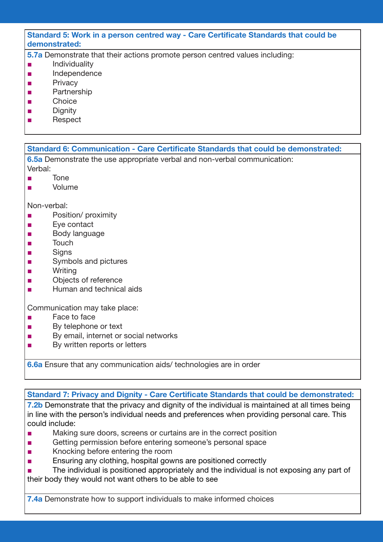#### Standard 5: Work in a person centred way - Care Certificate Standards that could be demonstrated:

- 5.7a Demonstrate that their actions promote person centred values including:
- Individuality
- Independence
- Privacy
- **Partnership**
- Choice
- Dianity
- Respect

## Standard 6: Communication - Care Certificate Standards that could be demonstrated:

6.5a Demonstrate the use appropriate verbal and non-verbal communication: Verbal:

- Tone
- Volume

Non-verbal:

- Position/ proximity
- Eve contact
- Body language
- Touch
- Signs
- Symbols and pictures
- Writing
- Objects of reference
- Human and technical aids

Communication may take place:

- Face to face
- By telephone or text
- By email, internet or social networks
- By written reports or letters

6.6a Ensure that any communication aids/ technologies are in order

#### Standard 7: Privacy and Dignity - Care Certificate Standards that could be demonstrated:

**7.2b** Demonstrate that the privacy and dignity of the individual is maintained at all times being in line with the person's individual needs and preferences when providing personal care. This could include:

- Making sure doors, screens or curtains are in the correct position
- Getting permission before entering someone's personal space
- Knocking before entering the room
- Ensuring any clothing, hospital gowns are positioned correctly
- The individual is positioned appropriately and the individual is not exposing any part of their body they would not want others to be able to see

**7.4a** Demonstrate how to support individuals to make informed choices